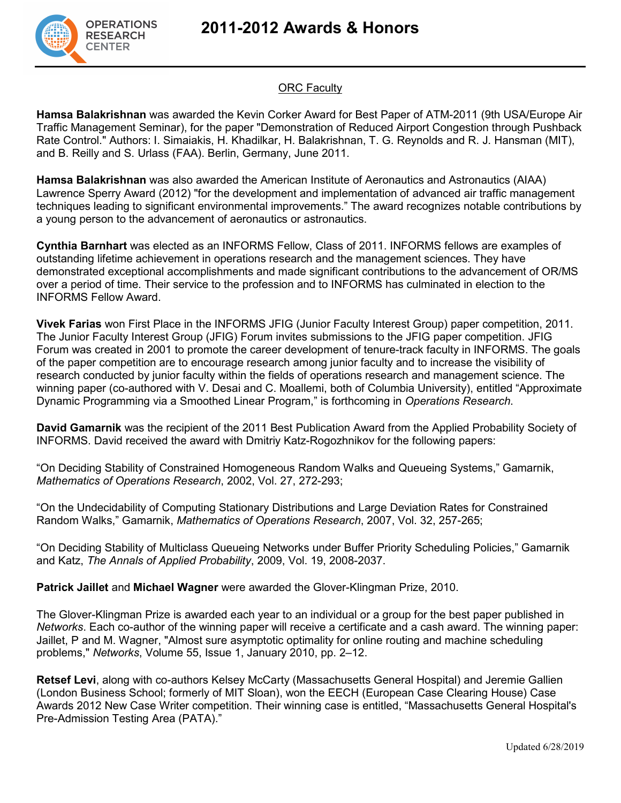



## **ORC Faculty**

**Hamsa Balakrishnan** was awarded the Kevin Corker Award for Best Paper of ATM-2011 (9th USA/Europe Air Traffic Management Seminar), for the paper "Demonstration of Reduced Airport Congestion through Pushback Rate Control." Authors: I. Simaiakis, H. Khadilkar, H. Balakrishnan, T. G. Reynolds and R. J. Hansman (MIT), and B. Reilly and S. Urlass (FAA). Berlin, Germany, June 2011.

**Hamsa Balakrishnan** was also awarded the American Institute of Aeronautics and Astronautics (AIAA) Lawrence Sperry Award (2012) "for the development and implementation of advanced air traffic management techniques leading to significant environmental improvements." The award recognizes notable contributions by a young person to the advancement of aeronautics or astronautics.

**Cynthia Barnhart** was elected as an INFORMS Fellow, Class of 2011. INFORMS fellows are examples of outstanding lifetime achievement in operations research and the management sciences. They have demonstrated exceptional accomplishments and made significant contributions to the advancement of OR/MS over a period of time. Their service to the profession and to INFORMS has culminated in election to the INFORMS Fellow Award.

**Vivek Farias** won First Place in the INFORMS JFIG (Junior Faculty Interest Group) paper competition, 2011. The Junior Faculty Interest Group (JFIG) Forum invites submissions to the JFIG paper competition. JFIG Forum was created in 2001 to promote the career development of tenure-track faculty in INFORMS. The goals of the paper competition are to encourage research among junior faculty and to increase the visibility of research conducted by junior faculty within the fields of operations research and management science. The winning paper (co-authored with V. Desai and C. Moallemi, both of Columbia University), entitled "Approximate Dynamic Programming via a Smoothed Linear Program," is forthcoming in *Operations Research*.

**David Gamarnik** was the recipient of the 2011 Best Publication Award from the Applied Probability Society of INFORMS. David received the award with Dmitriy Katz-Rogozhnikov for the following papers:

"On Deciding Stability of Constrained Homogeneous Random Walks and Queueing Systems," Gamarnik, *Mathematics of Operations Research*, 2002, Vol. 27, 272-293;

"On the Undecidability of Computing Stationary Distributions and Large Deviation Rates for Constrained Random Walks," Gamarnik, *Mathematics of Operations Research*, 2007, Vol. 32, 257-265;

"On Deciding Stability of Multiclass Queueing Networks under Buffer Priority Scheduling Policies," Gamarnik and Katz, *The Annals of Applied Probability*, 2009, Vol. 19, 2008-2037.

**Patrick Jaillet** and **Michael Wagner** were awarded the Glover-Klingman Prize, 2010.

The Glover-Klingman Prize is awarded each year to an individual or a group for the best paper published in *Networks*. Each co-author of the winning paper will receive a certificate and a cash award. The winning paper: Jaillet, P and M. Wagner, "Almost sure asymptotic optimality for online routing and machine scheduling problems," *Networks*, Volume 55, Issue 1, January 2010, pp. 2–12.

**Retsef Levi**, along with co-authors Kelsey McCarty (Massachusetts General Hospital) and Jeremie Gallien (London Business School; formerly of MIT Sloan), won the EECH (European Case Clearing House) Case Awards 2012 New Case Writer competition. Their winning case is entitled, "Massachusetts General Hospital's Pre-Admission Testing Area (PATA)."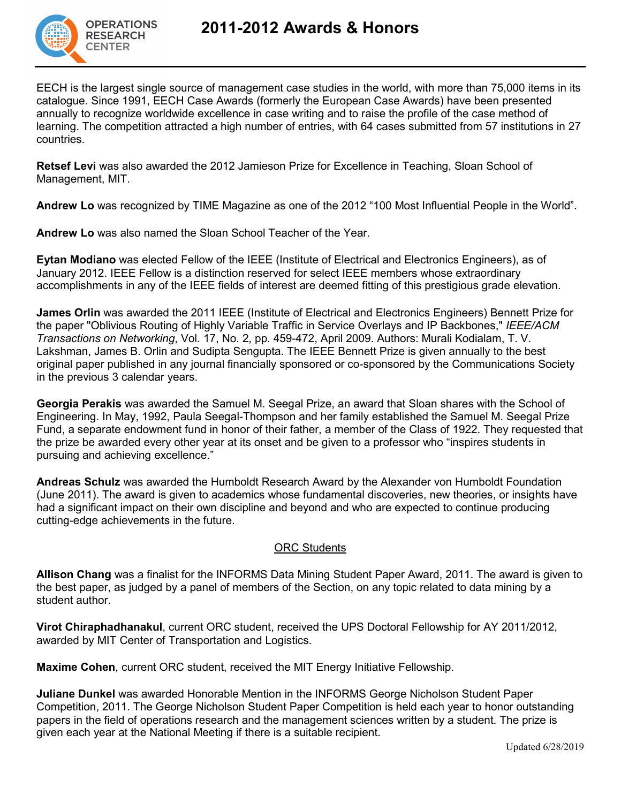

EECH is the largest single source of management case studies in the world, with more than 75,000 items in its catalogue. Since 1991, EECH Case Awards (formerly the European Case Awards) have been presented annually to recognize worldwide excellence in case writing and to raise the profile of the case method of learning. The competition attracted a high number of entries, with 64 cases submitted from 57 institutions in 27 countries.

**Retsef Levi** was also awarded the 2012 Jamieson Prize for Excellence in Teaching, Sloan School of Management, MIT.

**Andrew Lo** was recognized by TIME Magazine as one of the 2012 "100 Most Influential People in the World".

**Andrew Lo** was also named the Sloan School Teacher of the Year.

**Eytan Modiano** was elected Fellow of the IEEE (Institute of Electrical and Electronics Engineers), as of January 2012. IEEE Fellow is a distinction reserved for select IEEE members whose extraordinary accomplishments in any of the IEEE fields of interest are deemed fitting of this prestigious grade elevation.

**James Orlin** was awarded the 2011 IEEE (Institute of Electrical and Electronics Engineers) Bennett Prize for the paper "Oblivious Routing of Highly Variable Traffic in Service Overlays and IP Backbones," *IEEE/ACM Transactions on Networking*, Vol. 17, No. 2, pp. 459-472, April 2009. Authors: Murali Kodialam, T. V. Lakshman, James B. Orlin and Sudipta Sengupta. The IEEE Bennett Prize is given annually to the best original paper published in any journal financially sponsored or co-sponsored by the Communications Society in the previous 3 calendar years.

**Georgia Perakis** was awarded the Samuel M. Seegal Prize, an award that Sloan shares with the School of Engineering. In May, 1992, Paula Seegal-Thompson and her family established the Samuel M. Seegal Prize Fund, a separate endowment fund in honor of their father, a member of the Class of 1922. They requested that the prize be awarded every other year at its onset and be given to a professor who "inspires students in pursuing and achieving excellence."

**Andreas Schulz** was awarded the Humboldt Research Award by the Alexander von Humboldt Foundation (June 2011). The award is given to academics whose fundamental discoveries, new theories, or insights have had a significant impact on their own discipline and beyond and who are expected to continue producing cutting-edge achievements in the future.

## ORC Students

**Allison Chang** was a finalist for the INFORMS Data Mining Student Paper Award, 2011. The award is given to the best paper, as judged by a panel of members of the Section, on any topic related to data mining by a student author.

**Virot Chiraphadhanakul**, current ORC student, received the UPS Doctoral Fellowship for AY 2011/2012, awarded by MIT Center of Transportation and Logistics.

**Maxime Cohen**, current ORC student, received the MIT Energy Initiative Fellowship.

**Juliane Dunkel** was awarded Honorable Mention in the INFORMS George Nicholson Student Paper Competition, 2011. The George Nicholson Student Paper Competition is held each year to honor outstanding papers in the field of operations research and the management sciences written by a student. The prize is given each year at the National Meeting if there is a suitable recipient.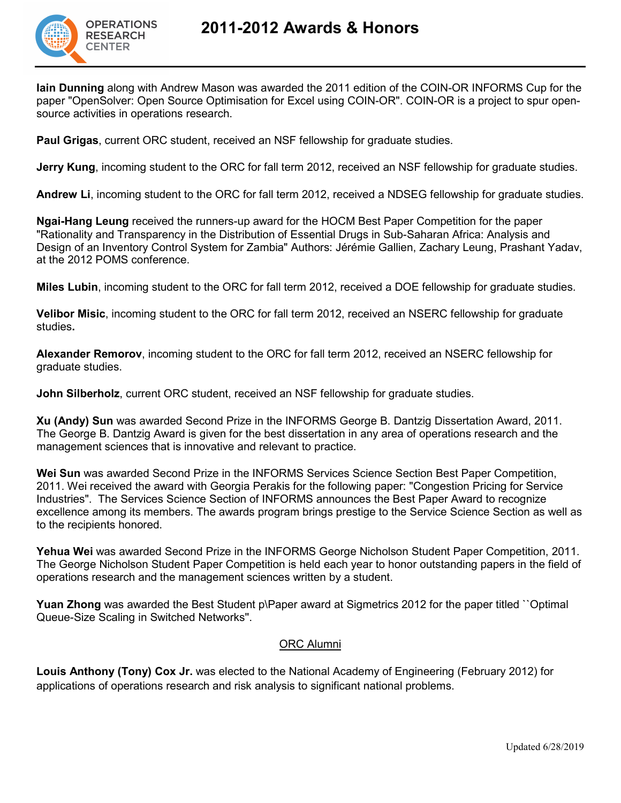

**Iain Dunning** along with Andrew Mason was awarded the 2011 edition of the COIN-OR INFORMS Cup for the paper "OpenSolver: Open Source Optimisation for Excel using COIN-OR". COIN-OR is a project to spur opensource activities in operations research.

**Paul Grigas**, current ORC student, received an NSF fellowship for graduate studies.

**Jerry Kung**, incoming student to the ORC for fall term 2012, received an NSF fellowship for graduate studies.

**Andrew Li**, incoming student to the ORC for fall term 2012, received a NDSEG fellowship for graduate studies.

**Ngai-Hang Leung** received the runners-up award for the HOCM Best Paper Competition for the paper "Rationality and Transparency in the Distribution of Essential Drugs in Sub-Saharan Africa: Analysis and Design of an Inventory Control System for Zambia" Authors: Jérémie Gallien, Zachary Leung, Prashant Yadav, at the 2012 POMS conference.

**Miles Lubin**, incoming student to the ORC for fall term 2012, received a DOE fellowship for graduate studies.

**Velibor Misic**, incoming student to the ORC for fall term 2012, received an NSERC fellowship for graduate studies**.**

**Alexander Remorov**, incoming student to the ORC for fall term 2012, received an NSERC fellowship for graduate studies.

**John Silberholz**, current ORC student, received an NSF fellowship for graduate studies.

**Xu (Andy) Sun** was awarded Second Prize in the INFORMS George B. Dantzig Dissertation Award, 2011. The George B. Dantzig Award is given for the best dissertation in any area of operations research and the management sciences that is innovative and relevant to practice.

**Wei Sun** was awarded Second Prize in the INFORMS Services Science Section Best Paper Competition, 2011. Wei received the award with Georgia Perakis for the following paper: "Congestion Pricing for Service Industries". The Services Science Section of INFORMS announces the Best Paper Award to recognize excellence among its members. The awards program brings prestige to the Service Science Section as well as to the recipients honored.

**Yehua Wei** was awarded Second Prize in the INFORMS George Nicholson Student Paper Competition, 2011. The George Nicholson Student Paper Competition is held each year to honor outstanding papers in the field of operations research and the management sciences written by a student.

**Yuan Zhong** was awarded the Best Student p\Paper award at Sigmetrics 2012 for the paper titled ``Optimal Queue-Size Scaling in Switched Networks''.

## ORC Alumni

**Louis Anthony (Tony) Cox Jr.** was elected to the National Academy of Engineering (February 2012) for applications of operations research and risk analysis to significant national problems.